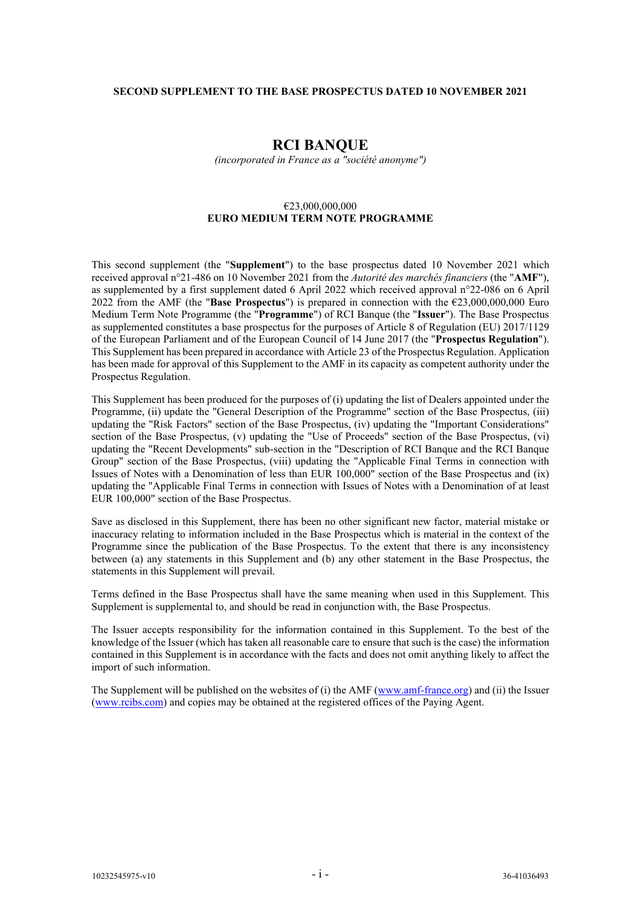#### **SECOND SUPPLEMENT TO THE BASE PROSPECTUS DATED 10 NOVEMBER 2021**

# **RCI BANQUE**

*(incorporated in France as a "société anonyme")*

#### €23,000,000,000 **EURO MEDIUM TERM NOTE PROGRAMME**

This second supplement (the "**Supplement**") to the base prospectus dated 10 November 2021 which received approval n°21-486 on 10 November 2021 from the *Autorité des marchés financiers* (the "**AMF**"), as supplemented by a first supplement dated 6 April 2022 which received approval n°22-086 on 6 April 2022 from the AMF (the "**Base Prospectus**") is prepared in connection with the €23,000,000,000 Euro Medium Term Note Programme (the "**Programme**") of RCI Banque (the "**Issuer**"). The Base Prospectus as supplemented constitutes a base prospectus for the purposes of Article 8 of Regulation (EU) 2017/1129 of the European Parliament and of the European Council of 14 June 2017 (the "**Prospectus Regulation**"). This Supplement has been prepared in accordance with Article 23 of the Prospectus Regulation. Application has been made for approval of this Supplement to the AMF in its capacity as competent authority under the Prospectus Regulation.

This Supplement has been produced for the purposes of (i) updating the list of Dealers appointed under the Programme, (ii) update the "General Description of the Programme" section of the Base Prospectus, (iii) updating the "Risk Factors" section of the Base Prospectus, (iv) updating the "Important Considerations" section of the Base Prospectus, (v) updating the "Use of Proceeds" section of the Base Prospectus, (vi) updating the "Recent Developments" sub-section in the "Description of RCI Banque and the RCI Banque Group" section of the Base Prospectus, (viii) updating the "Applicable Final Terms in connection with Issues of Notes with a Denomination of less than EUR 100,000" section of the Base Prospectus and (ix) updating the "Applicable Final Terms in connection with Issues of Notes with a Denomination of at least EUR 100,000" section of the Base Prospectus.

Save as disclosed in this Supplement, there has been no other significant new factor, material mistake or inaccuracy relating to information included in the Base Prospectus which is material in the context of the Programme since the publication of the Base Prospectus. To the extent that there is any inconsistency between (a) any statements in this Supplement and (b) any other statement in the Base Prospectus, the statements in this Supplement will prevail.

Terms defined in the Base Prospectus shall have the same meaning when used in this Supplement. This Supplement is supplemental to, and should be read in conjunction with, the Base Prospectus.

The Issuer accepts responsibility for the information contained in this Supplement. To the best of the knowledge of the Issuer (which has taken all reasonable care to ensure that such is the case) the information contained in this Supplement is in accordance with the facts and does not omit anything likely to affect the import of such information.

The Supplement will be published on the websites of (i) the AMF [\(www.amf-france.org\)](http://www.amf-france.org/) and (ii) the Issuer [\(www.rcibs.com\)](http://www.rcibs.com/) and copies may be obtained at the registered offices of the Paying Agent.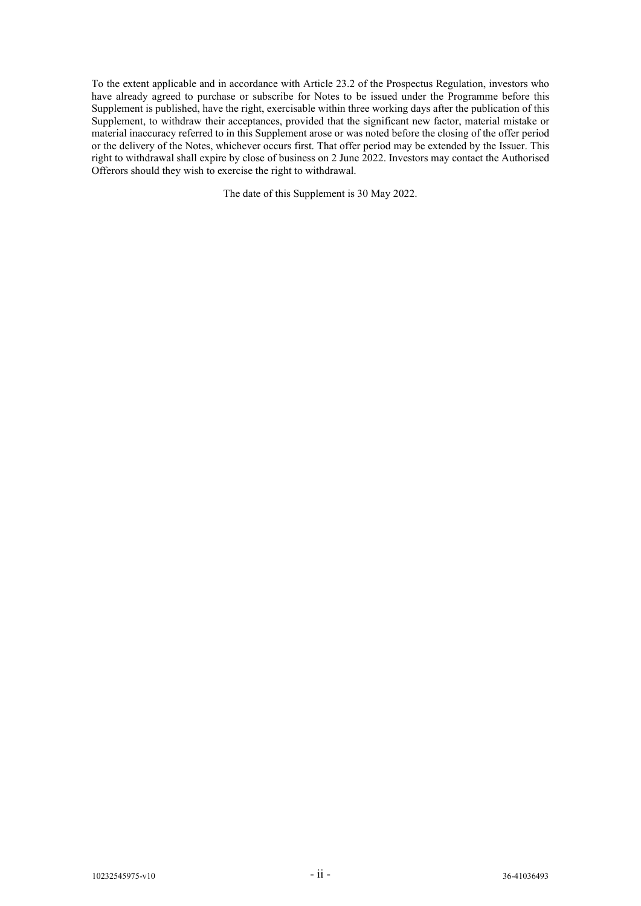To the extent applicable and in accordance with Article 23.2 of the Prospectus Regulation, investors who have already agreed to purchase or subscribe for Notes to be issued under the Programme before this Supplement is published, have the right, exercisable within three working days after the publication of this Supplement, to withdraw their acceptances, provided that the significant new factor, material mistake or material inaccuracy referred to in this Supplement arose or was noted before the closing of the offer period or the delivery of the Notes, whichever occurs first. That offer period may be extended by the Issuer. This right to withdrawal shall expire by close of business on 2 June 2022. Investors may contact the Authorised Offerors should they wish to exercise the right to withdrawal.

The date of this Supplement is 30 May 2022.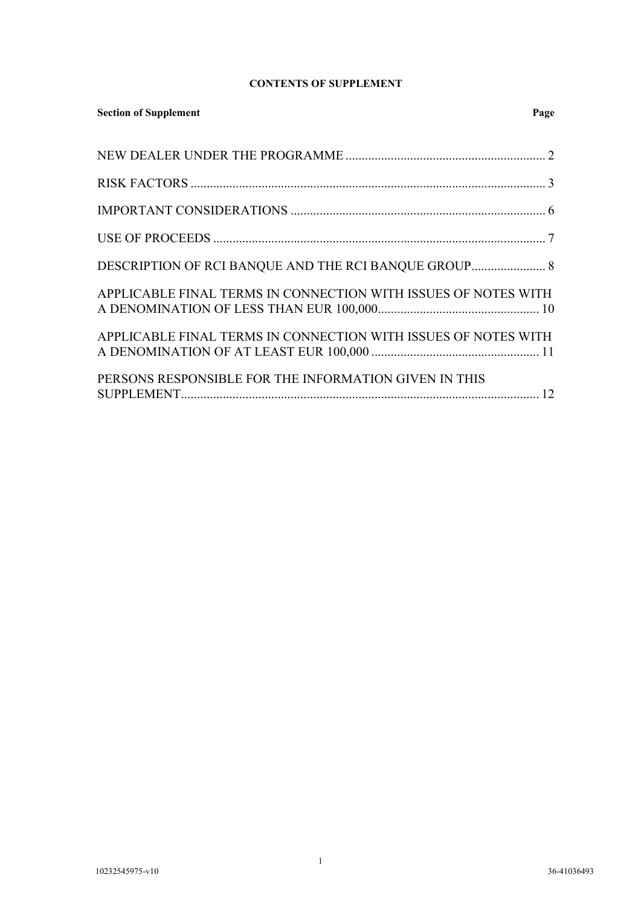## **CONTENTS OF SUPPLEMENT**

| <b>Section of Supplement</b><br>Page                           |
|----------------------------------------------------------------|
|                                                                |
|                                                                |
|                                                                |
|                                                                |
|                                                                |
| APPLICABLE FINAL TERMS IN CONNECTION WITH ISSUES OF NOTES WITH |
| APPLICABLE FINAL TERMS IN CONNECTION WITH ISSUES OF NOTES WITH |
| PERSONS RESPONSIBLE FOR THE INFORMATION GIVEN IN THIS          |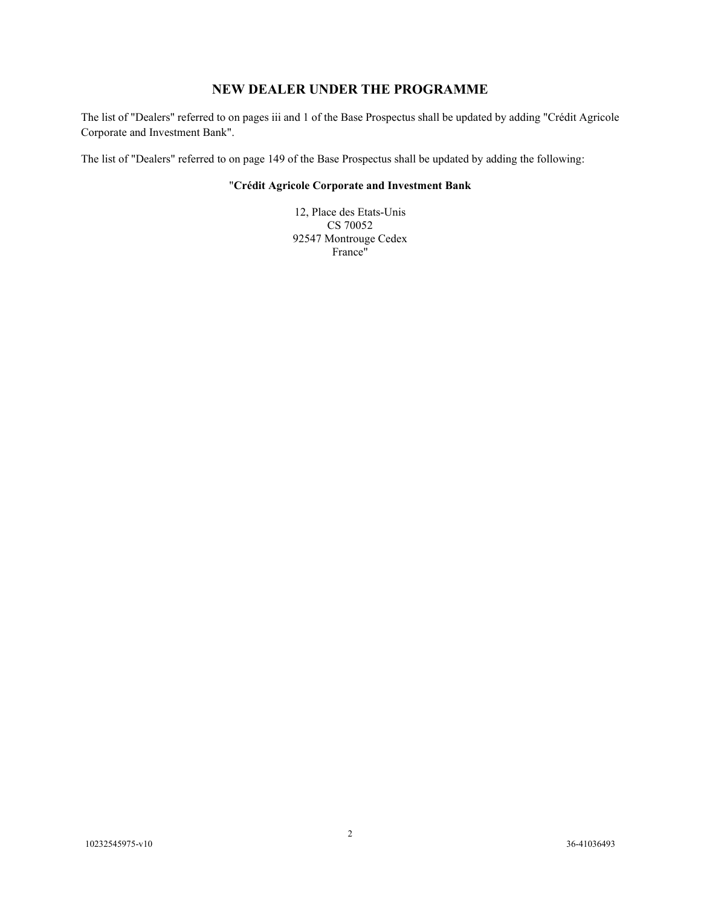# **NEW DEALER UNDER THE PROGRAMME**

The list of "Dealers" referred to on pages iii and 1 of the Base Prospectus shall be updated by adding "Crédit Agricole Corporate and Investment Bank".

<span id="page-3-0"></span>The list of "Dealers" referred to on page 149 of the Base Prospectus shall be updated by adding the following:

### "**Crédit Agricole Corporate and Investment Bank**

12, Place des Etats-Unis CS 70052 92547 Montrouge Cedex France"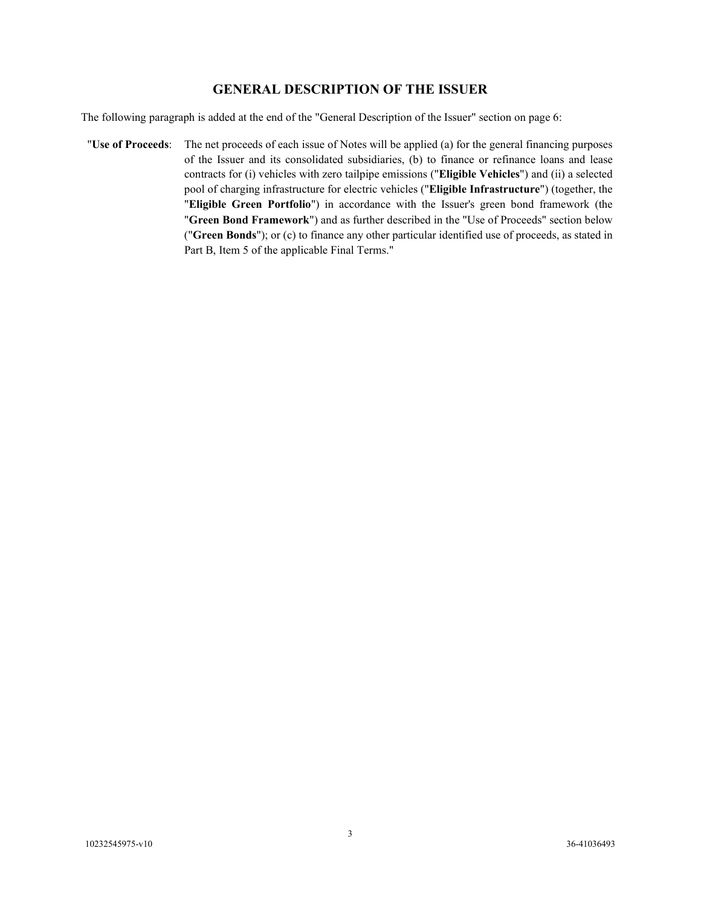## **GENERAL DESCRIPTION OF THE ISSUER**

The following paragraph is added at the end of the "General Description of the Issuer" section on page 6:

"**Use of Proceeds**: The net proceeds of each issue of Notes will be applied (a) for the general financing purposes of the Issuer and its consolidated subsidiaries, (b) to finance or refinance loans and lease contracts for (i) vehicles with zero tailpipe emissions ("**Eligible Vehicles**") and (ii) a selected pool of charging infrastructure for electric vehicles ("**Eligible Infrastructure**") (together, the "**Eligible Green Portfolio**") in accordance with the Issuer's green bond framework (the "**Green Bond Framework**") and as further described in the "Use of Proceeds" section below ("**Green Bonds**"); or (c) to finance any other particular identified use of proceeds, as stated in Part B, Item 5 of the applicable Final Terms."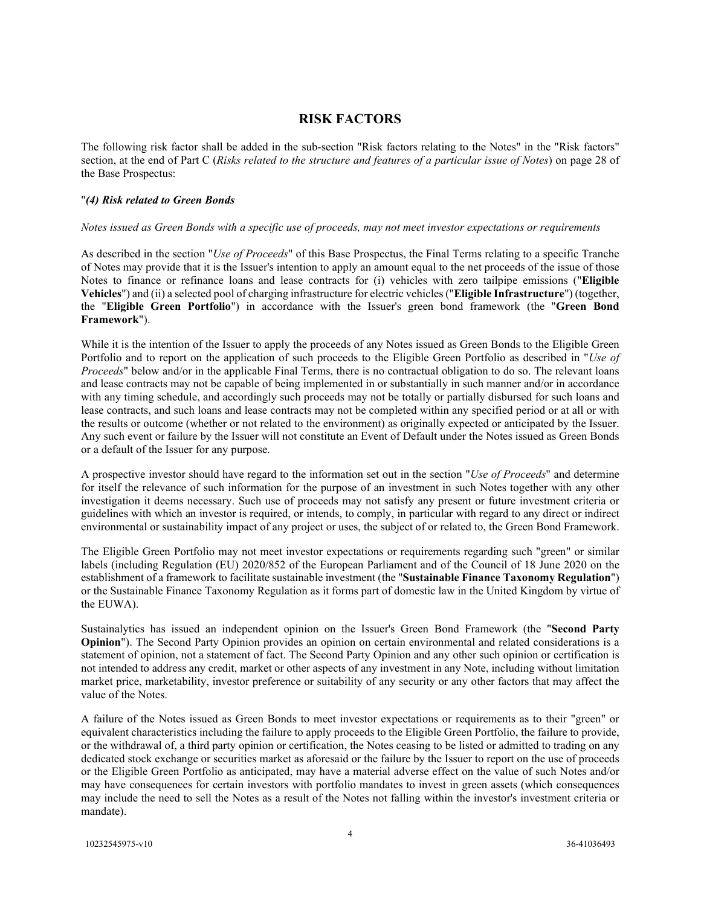## **RISK FACTORS**

The following risk factor shall be added in the sub-section "Risk factors relating to the Notes" in the "Risk factors" section, at the end of Part C (*Risks related to the structure and features of a particular issue of Notes*) on page 28 of the Base Prospectus:

#### <span id="page-5-0"></span>"*(4) Risk related to Green Bonds*

#### *Notes issued as Green Bonds with a specific use of proceeds, may not meet investor expectations or requirements*

As described in the section "*Use of Proceeds*" of this Base Prospectus, the Final Terms relating to a specific Tranche of Notes may provide that it is the Issuer's intention to apply an amount equal to the net proceeds of the issue of those Notes to finance or refinance loans and lease contracts for (i) vehicles with zero tailpipe emissions ("**Eligible Vehicles**") and (ii) a selected pool of charging infrastructure for electric vehicles ("**Eligible Infrastructure**") (together, the "**Eligible Green Portfolio**") in accordance with the Issuer's green bond framework (the "**Green Bond Framework**").

While it is the intention of the Issuer to apply the proceeds of any Notes issued as Green Bonds to the Eligible Green Portfolio and to report on the application of such proceeds to the Eligible Green Portfolio as described in "*Use of Proceeds*" below and/or in the applicable Final Terms, there is no contractual obligation to do so. The relevant loans and lease contracts may not be capable of being implemented in or substantially in such manner and/or in accordance with any timing schedule, and accordingly such proceeds may not be totally or partially disbursed for such loans and lease contracts, and such loans and lease contracts may not be completed within any specified period or at all or with the results or outcome (whether or not related to the environment) as originally expected or anticipated by the Issuer. Any such event or failure by the Issuer will not constitute an Event of Default under the Notes issued as Green Bonds or a default of the Issuer for any purpose.

A prospective investor should have regard to the information set out in the section "*Use of Proceeds*" and determine for itself the relevance of such information for the purpose of an investment in such Notes together with any other investigation it deems necessary. Such use of proceeds may not satisfy any present or future investment criteria or guidelines with which an investor is required, or intends, to comply, in particular with regard to any direct or indirect environmental or sustainability impact of any project or uses, the subject of or related to, the Green Bond Framework.

The Eligible Green Portfolio may not meet investor expectations or requirements regarding such "green" or similar labels (including Regulation (EU) 2020/852 of the European Parliament and of the Council of 18 June 2020 on the establishment of a framework to facilitate sustainable investment (the "**Sustainable Finance Taxonomy Regulation**") or the Sustainable Finance Taxonomy Regulation as it forms part of domestic law in the United Kingdom by virtue of the EUWA).

Sustainalytics has issued an independent opinion on the Issuer's Green Bond Framework (the "**Second Party Opinion**"). The Second Party Opinion provides an opinion on certain environmental and related considerations is a statement of opinion, not a statement of fact. The Second Party Opinion and any other such opinion or certification is not intended to address any credit, market or other aspects of any investment in any Note, including without limitation market price, marketability, investor preference or suitability of any security or any other factors that may affect the value of the Notes.

A failure of the Notes issued as Green Bonds to meet investor expectations or requirements as to their "green" or equivalent characteristics including the failure to apply proceeds to the Eligible Green Portfolio, the failure to provide, or the withdrawal of, a third party opinion or certification, the Notes ceasing to be listed or admitted to trading on any dedicated stock exchange or securities market as aforesaid or the failure by the Issuer to report on the use of proceeds or the Eligible Green Portfolio as anticipated, may have a material adverse effect on the value of such Notes and/or may have consequences for certain investors with portfolio mandates to invest in green assets (which consequences may include the need to sell the Notes as a result of the Notes not falling within the investor's investment criteria or mandate).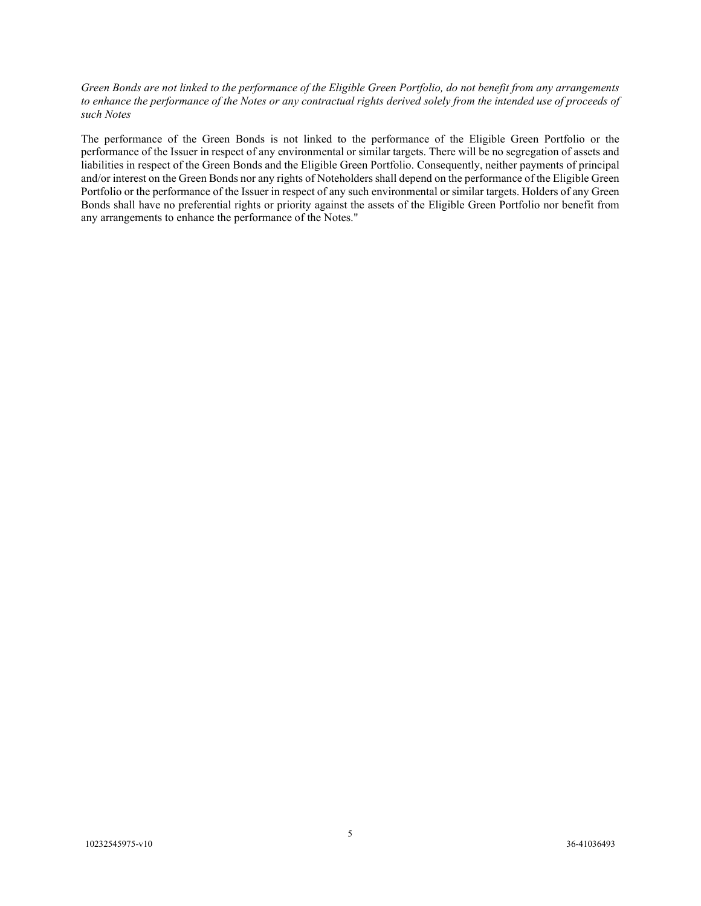#### *Green Bonds are not linked to the performance of the Eligible Green Portfolio, do not benefit from any arrangements*  to enhance the performance of the Notes or any contractual rights derived solely from the intended use of proceeds of *such Notes*

The performance of the Green Bonds is not linked to the performance of the Eligible Green Portfolio or the performance of the Issuer in respect of any environmental or similar targets. There will be no segregation of assets and liabilities in respect of the Green Bonds and the Eligible Green Portfolio. Consequently, neither payments of principal and/or interest on the Green Bonds nor any rights of Noteholders shall depend on the performance of the Eligible Green Portfolio or the performance of the Issuer in respect of any such environmental or similar targets. Holders of any Green Bonds shall have no preferential rights or priority against the assets of the Eligible Green Portfolio nor benefit from any arrangements to enhance the performance of the Notes."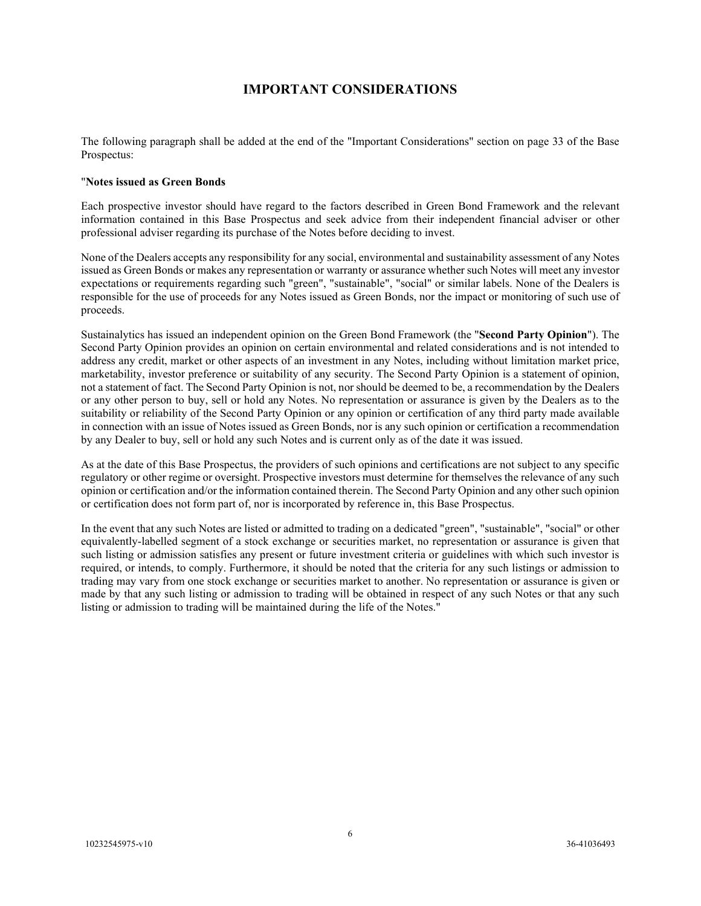# **IMPORTANT CONSIDERATIONS**

<span id="page-7-0"></span>The following paragraph shall be added at the end of the "Important Considerations" section on page 33 of the Base Prospectus:

#### "**Notes issued as Green Bonds**

Each prospective investor should have regard to the factors described in Green Bond Framework and the relevant information contained in this Base Prospectus and seek advice from their independent financial adviser or other professional adviser regarding its purchase of the Notes before deciding to invest.

None of the Dealers accepts any responsibility for any social, environmental and sustainability assessment of any Notes issued as Green Bonds or makes any representation or warranty or assurance whether such Notes will meet any investor expectations or requirements regarding such "green", "sustainable", "social" or similar labels. None of the Dealers is responsible for the use of proceeds for any Notes issued as Green Bonds, nor the impact or monitoring of such use of proceeds.

Sustainalytics has issued an independent opinion on the Green Bond Framework (the "**Second Party Opinion**"). The Second Party Opinion provides an opinion on certain environmental and related considerations and is not intended to address any credit, market or other aspects of an investment in any Notes, including without limitation market price, marketability, investor preference or suitability of any security. The Second Party Opinion is a statement of opinion, not a statement of fact. The Second Party Opinion is not, nor should be deemed to be, a recommendation by the Dealers or any other person to buy, sell or hold any Notes. No representation or assurance is given by the Dealers as to the suitability or reliability of the Second Party Opinion or any opinion or certification of any third party made available in connection with an issue of Notes issued as Green Bonds, nor is any such opinion or certification a recommendation by any Dealer to buy, sell or hold any such Notes and is current only as of the date it was issued.

As at the date of this Base Prospectus, the providers of such opinions and certifications are not subject to any specific regulatory or other regime or oversight. Prospective investors must determine for themselves the relevance of any such opinion or certification and/or the information contained therein. The Second Party Opinion and any other such opinion or certification does not form part of, nor is incorporated by reference in, this Base Prospectus.

In the event that any such Notes are listed or admitted to trading on a dedicated "green", "sustainable", "social" or other equivalently-labelled segment of a stock exchange or securities market, no representation or assurance is given that such listing or admission satisfies any present or future investment criteria or guidelines with which such investor is required, or intends, to comply. Furthermore, it should be noted that the criteria for any such listings or admission to trading may vary from one stock exchange or securities market to another. No representation or assurance is given or made by that any such listing or admission to trading will be obtained in respect of any such Notes or that any such listing or admission to trading will be maintained during the life of the Notes."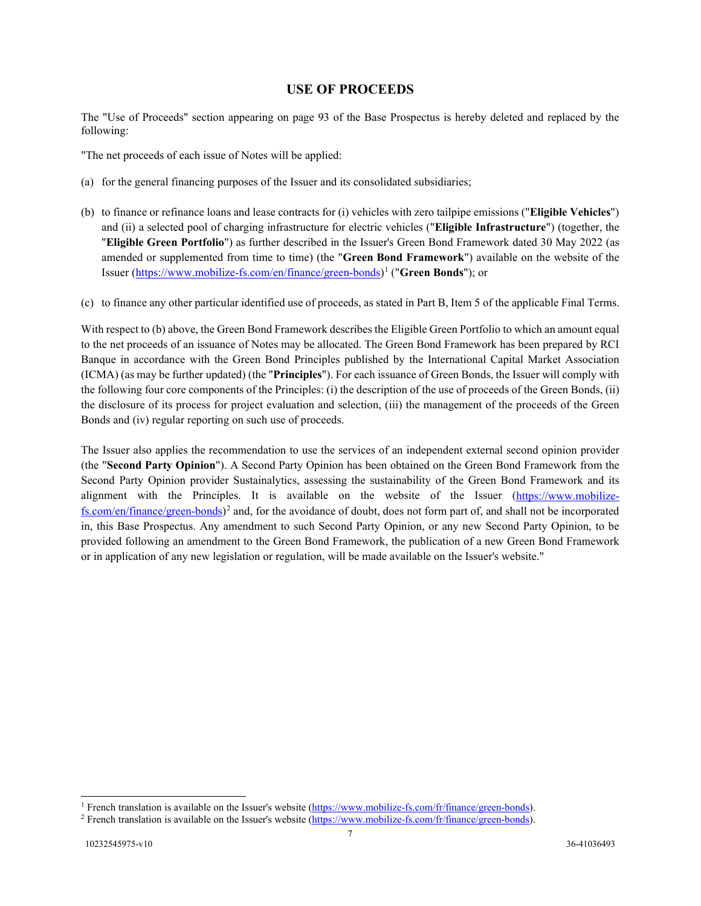## **USE OF PROCEEDS**

The "Use of Proceeds" section appearing on page 93 of the Base Prospectus is hereby deleted and replaced by the following:

<span id="page-8-0"></span>"The net proceeds of each issue of Notes will be applied:

- (a) for the general financing purposes of the Issuer and its consolidated subsidiaries;
- (b) to finance or refinance loans and lease contracts for (i) vehicles with zero tailpipe emissions ("**Eligible Vehicles**") and (ii) a selected pool of charging infrastructure for electric vehicles ("**Eligible Infrastructure**") (together, the "**Eligible Green Portfolio**") as further described in the Issuer's Green Bond Framework dated 30 May 2022 (as amended or supplemented from time to time) (the "**Green Bond Framework**") available on the website of the Issuer [\(https://www.mobilize-fs.com/en/finance/green-bonds\)](https://www.mobilize-fs.com/en/finance/green-bonds)[1](#page-8-1) ("**Green Bonds**"); or
- (c) to finance any other particular identified use of proceeds, as stated in Part B, Item 5 of the applicable Final Terms.

With respect to (b) above, the Green Bond Framework describes the Eligible Green Portfolio to which an amount equal to the net proceeds of an issuance of Notes may be allocated. The Green Bond Framework has been prepared by RCI Banque in accordance with the Green Bond Principles published by the International Capital Market Association (ICMA) (as may be further updated) (the "**Principles**"). For each issuance of Green Bonds, the Issuer will comply with the following four core components of the Principles: (i) the description of the use of proceeds of the Green Bonds, (ii) the disclosure of its process for project evaluation and selection, (iii) the management of the proceeds of the Green Bonds and (iv) regular reporting on such use of proceeds.

The Issuer also applies the recommendation to use the services of an independent external second opinion provider (the "**Second Party Opinion**"). A Second Party Opinion has been obtained on the Green Bond Framework from the Second Party Opinion provider Sustainalytics, assessing the sustainability of the Green Bond Framework and its alignment with the Principles. It is available on the website of the Issuer [\(https://www.mobilize](https://www.mobilize-fs.com/en/finance/green-bonds) $fs.com/en/finance/green-bonds)<sup>2</sup>$  $fs.com/en/finance/green-bonds)<sup>2</sup>$  $fs.com/en/finance/green-bonds)<sup>2</sup>$  $fs.com/en/finance/green-bonds)<sup>2</sup>$  and, for the avoidance of doubt, does not form part of, and shall not be incorporated in, this Base Prospectus. Any amendment to such Second Party Opinion, or any new Second Party Opinion, to be provided following an amendment to the Green Bond Framework, the publication of a new Green Bond Framework or in application of any new legislation or regulation, will be made available on the Issuer's website."

<span id="page-8-1"></span><sup>&</sup>lt;sup>1</sup> French translation is available on the Issuer's website [\(https://www.mobilize-fs.com/fr/finance/green-bonds\)](https://www.mobilize-fs.com/fr/finance/green-bonds). <sup>2</sup> French translation is available on the Issuer's website (https://www.mobilize-fs.com/fr/finance/green-b

<span id="page-8-2"></span>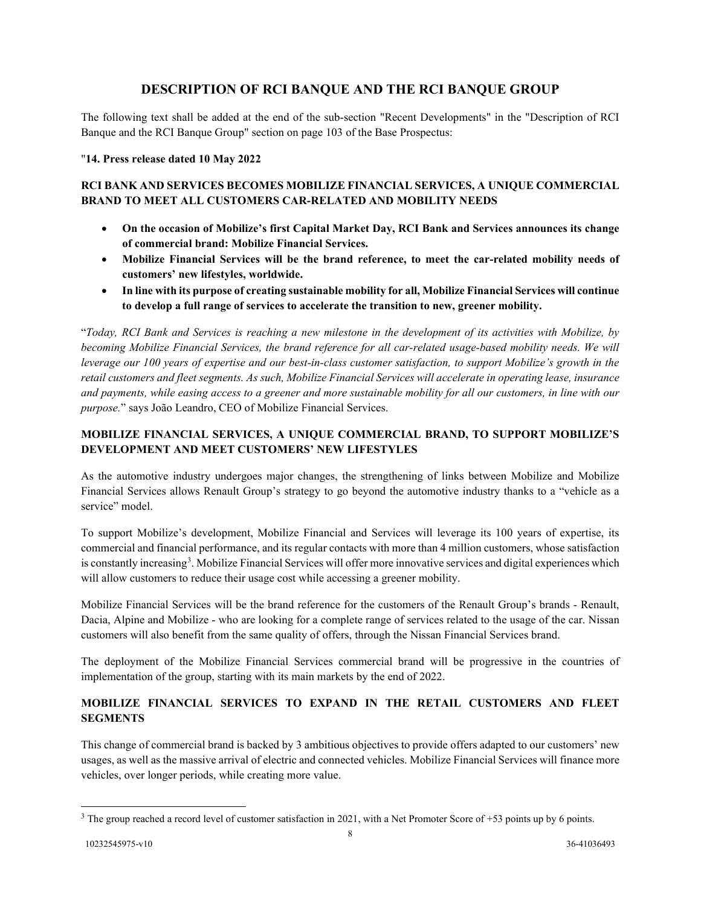# **DESCRIPTION OF RCI BANQUE AND THE RCI BANQUE GROUP**

The following text shall be added at the end of the sub-section "Recent Developments" in the "Description of RCI Banque and the RCI Banque Group" section on page 103 of the Base Prospectus:

### <span id="page-9-0"></span>"**14. Press release dated 10 May 2022**

## **RCI BANK AND SERVICES BECOMES MOBILIZE FINANCIAL SERVICES, A UNIQUE COMMERCIAL BRAND TO MEET ALL CUSTOMERS CAR-RELATED AND MOBILITY NEEDS**

- **On the occasion of Mobilize's first Capital Market Day, RCI Bank and Services announces its change of commercial brand: Mobilize Financial Services.**
- **Mobilize Financial Services will be the brand reference, to meet the car-related mobility needs of customers' new lifestyles, worldwide.**
- **In line with its purpose of creating sustainable mobility for all, Mobilize Financial Services will continue to develop a full range of services to accelerate the transition to new, greener mobility.**

"*Today, RCI Bank and Services is reaching a new milestone in the development of its activities with Mobilize, by becoming Mobilize Financial Services, the brand reference for all car-related usage-based mobility needs. We will leverage our 100 years of expertise and our best-in-class customer satisfaction, to support Mobilize's growth in the retail customers and fleet segments. As such, Mobilize Financial Services will accelerate in operating lease, insurance and payments, while easing access to a greener and more sustainable mobility for all our customers, in line with our purpose.*" says João Leandro, CEO of Mobilize Financial Services.

## **MOBILIZE FINANCIAL SERVICES, A UNIQUE COMMERCIAL BRAND, TO SUPPORT MOBILIZE'S DEVELOPMENT AND MEET CUSTOMERS' NEW LIFESTYLES**

As the automotive industry undergoes major changes, the strengthening of links between Mobilize and Mobilize Financial Services allows Renault Group's strategy to go beyond the automotive industry thanks to a "vehicle as a service" model

To support Mobilize's development, Mobilize Financial and Services will leverage its 100 years of expertise, its commercial and financial performance, and its regular contacts with more than 4 million customers, whose satisfaction is constantly increasing<sup>[3](#page-9-1)</sup>. Mobilize Financial Services will offer more innovative services and digital experiences which will allow customers to reduce their usage cost while accessing a greener mobility.

Mobilize Financial Services will be the brand reference for the customers of the Renault Group's brands - Renault, Dacia, Alpine and Mobilize - who are looking for a complete range of services related to the usage of the car. Nissan customers will also benefit from the same quality of offers, through the Nissan Financial Services brand.

The deployment of the Mobilize Financial Services commercial brand will be progressive in the countries of implementation of the group, starting with its main markets by the end of 2022.

## **MOBILIZE FINANCIAL SERVICES TO EXPAND IN THE RETAIL CUSTOMERS AND FLEET SEGMENTS**

This change of commercial brand is backed by 3 ambitious objectives to provide offers adapted to our customers' new usages, as well as the massive arrival of electric and connected vehicles. Mobilize Financial Services will finance more vehicles, over longer periods, while creating more value.

<span id="page-9-1"></span> $3$  The group reached a record level of customer satisfaction in 2021, with a Net Promoter Score of +53 points up by 6 points.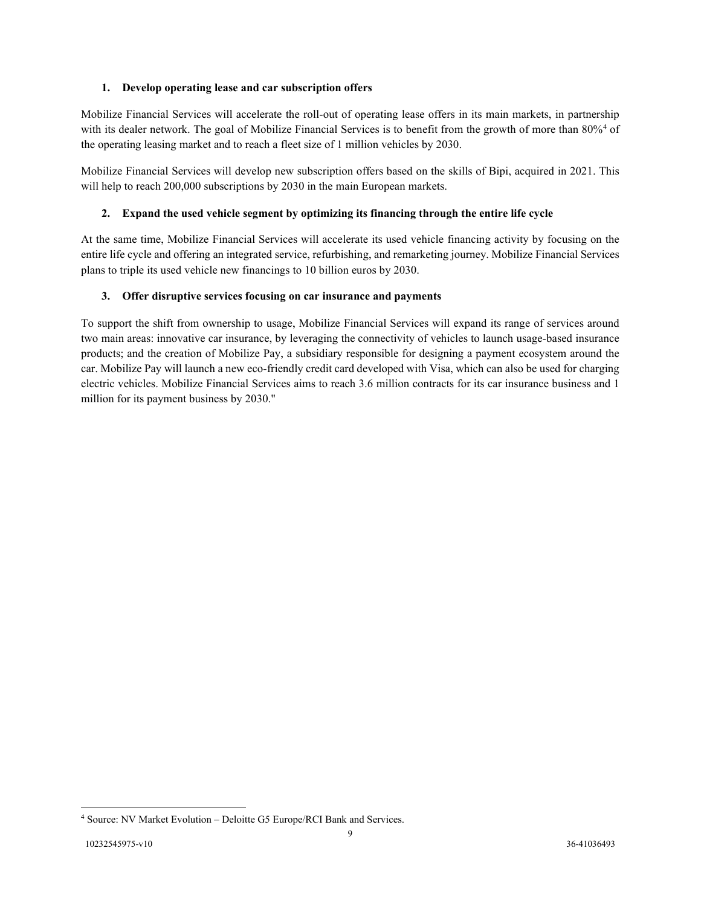### **1. Develop operating lease and car subscription offers**

Mobilize Financial Services will accelerate the roll-out of operating lease offers in its main markets, in partnership with its dealer network. The goal of Mobilize Financial Services is to benefit from the growth of more than 80%<sup>[4](#page-10-0)</sup> of the operating leasing market and to reach a fleet size of 1 million vehicles by 2030.

Mobilize Financial Services will develop new subscription offers based on the skills of Bipi, acquired in 2021. This will help to reach 200,000 subscriptions by 2030 in the main European markets.

## **2. Expand the used vehicle segment by optimizing its financing through the entire life cycle**

At the same time, Mobilize Financial Services will accelerate its used vehicle financing activity by focusing on the entire life cycle and offering an integrated service, refurbishing, and remarketing journey. Mobilize Financial Services plans to triple its used vehicle new financings to 10 billion euros by 2030.

### **3. Offer disruptive services focusing on car insurance and payments**

To support the shift from ownership to usage, Mobilize Financial Services will expand its range of services around two main areas: innovative car insurance, by leveraging the connectivity of vehicles to launch usage-based insurance products; and the creation of Mobilize Pay, a subsidiary responsible for designing a payment ecosystem around the car. Mobilize Pay will launch a new eco-friendly credit card developed with Visa, which can also be used for charging electric vehicles. Mobilize Financial Services aims to reach 3.6 million contracts for its car insurance business and 1 million for its payment business by 2030."

<span id="page-10-0"></span><sup>4</sup> Source: NV Market Evolution – Deloitte G5 Europe/RCI Bank and Services.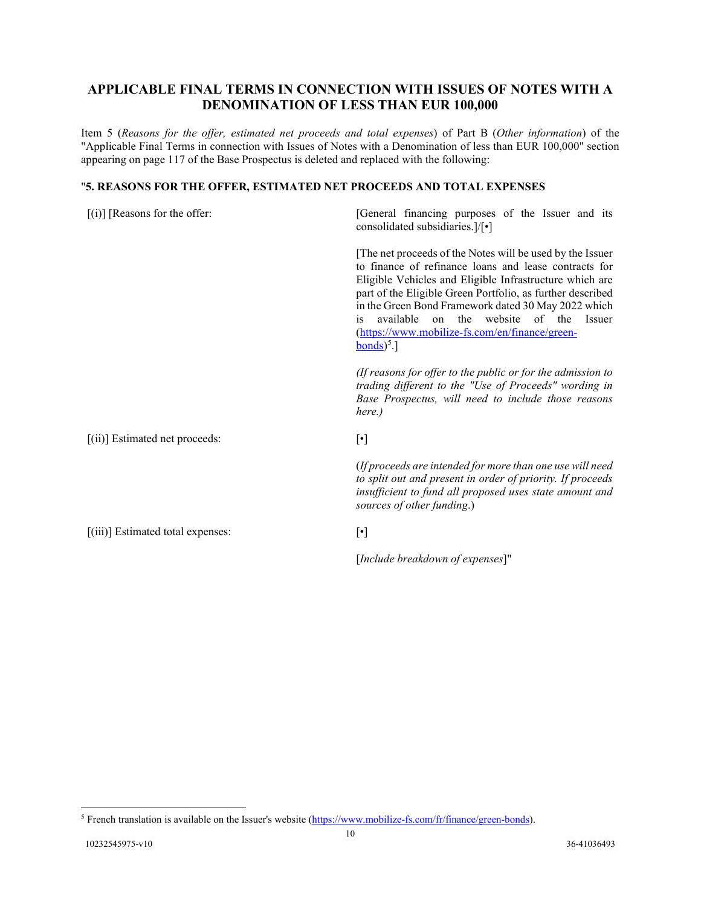# **APPLICABLE FINAL TERMS IN CONNECTION WITH ISSUES OF NOTES WITH A DENOMINATION OF LESS THAN EUR 100,000**

<span id="page-11-0"></span>Item 5 (*Reasons for the offer, estimated net proceeds and total expenses*) of Part B (*Other information*) of the "Applicable Final Terms in connection with Issues of Notes with a Denomination of less than EUR 100,000" section appearing on page 117 of the Base Prospectus is deleted and replaced with the following:

### "**5. REASONS FOR THE OFFER, ESTIMATED NET PROCEEDS AND TOTAL EXPENSES**

| $[(i)]$ [Reasons for the offer:     | [General financing purposes of the Issuer and its<br>consolidated subsidiaries.]/[•]                                                                                                                                                                                                                                                                                                                                                               |
|-------------------------------------|----------------------------------------------------------------------------------------------------------------------------------------------------------------------------------------------------------------------------------------------------------------------------------------------------------------------------------------------------------------------------------------------------------------------------------------------------|
|                                     | The net proceeds of the Notes will be used by the Issuer<br>to finance of refinance loans and lease contracts for<br>Eligible Vehicles and Eligible Infrastructure which are<br>part of the Eligible Green Portfolio, as further described<br>in the Green Bond Framework dated 30 May 2022 which<br>the website of the Issuer<br>available<br>on<br><i>is</i><br>(https://www.mobilize-fs.com/en/finance/green-<br>$\text{bonds}$ <sup>5</sup> .] |
|                                     | (If reasons for offer to the public or for the admission to<br>trading different to the "Use of Proceeds" wording in<br>Base Prospectus, will need to include those reasons<br>here.)                                                                                                                                                                                                                                                              |
| $[(ii)]$ Estimated net proceeds:    | $[\cdot]$                                                                                                                                                                                                                                                                                                                                                                                                                                          |
|                                     | (If proceeds are intended for more than one use will need<br>to split out and present in order of priority. If proceeds<br>insufficient to fund all proposed uses state amount and<br>sources of other funding.)                                                                                                                                                                                                                                   |
| $[(iii)]$ Estimated total expenses: | $[\cdot]$                                                                                                                                                                                                                                                                                                                                                                                                                                          |
|                                     | [Include breakdown of expenses]"                                                                                                                                                                                                                                                                                                                                                                                                                   |

<span id="page-11-1"></span><sup>5</sup> French translation is available on the Issuer's website [\(https://www.mobilize-fs.com/fr/finance/green-bonds\)](https://www.mobilize-fs.com/fr/finance/green-bonds).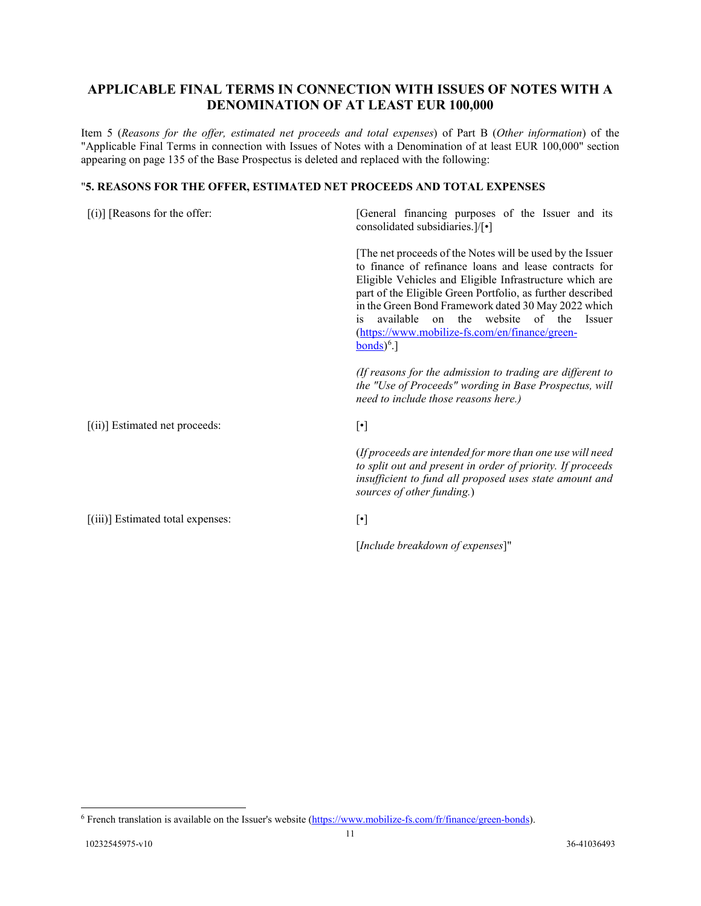# **APPLICABLE FINAL TERMS IN CONNECTION WITH ISSUES OF NOTES WITH A DENOMINATION OF AT LEAST EUR 100,000**

<span id="page-12-0"></span>Item 5 (*Reasons for the offer, estimated net proceeds and total expenses*) of Part B (*Other information*) of the "Applicable Final Terms in connection with Issues of Notes with a Denomination of at least EUR 100,000" section appearing on page 135 of the Base Prospectus is deleted and replaced with the following:

### "**5. REASONS FOR THE OFFER, ESTIMATED NET PROCEEDS AND TOTAL EXPENSES**

| $[(i)]$ [Reasons for the offer:   | [General financing purposes of the Issuer and its<br>consolidated subsidiaries.]/[•]                                                                                                                                                                                                                                                                                                                                                                            |
|-----------------------------------|-----------------------------------------------------------------------------------------------------------------------------------------------------------------------------------------------------------------------------------------------------------------------------------------------------------------------------------------------------------------------------------------------------------------------------------------------------------------|
|                                   | [The net proceeds of the Notes will be used by the Issuer<br>to finance of refinance loans and lease contracts for<br>Eligible Vehicles and Eligible Infrastructure which are<br>part of the Eligible Green Portfolio, as further described<br>in the Green Bond Framework dated 30 May 2022 which<br>website of the<br>available<br>the<br><b>Issuer</b><br>on<br>$\overline{1}S$<br>(https://www.mobilize-fs.com/en/finance/green-<br>$bonds$ <sup>6</sup> .] |
|                                   | (If reasons for the admission to trading are different to<br>the "Use of Proceeds" wording in Base Prospectus, will<br>need to include those reasons here.)                                                                                                                                                                                                                                                                                                     |
| $[(ii)]$ Estimated net proceeds:  | $[\cdot]$                                                                                                                                                                                                                                                                                                                                                                                                                                                       |
|                                   | (If proceeds are intended for more than one use will need<br>to split out and present in order of priority. If proceeds<br>insufficient to fund all proposed uses state amount and<br>sources of other funding.)                                                                                                                                                                                                                                                |
| [(iii)] Estimated total expenses: | $[\cdot]$                                                                                                                                                                                                                                                                                                                                                                                                                                                       |
|                                   | [Include breakdown of expenses]"                                                                                                                                                                                                                                                                                                                                                                                                                                |

<span id="page-12-1"></span><sup>6</sup> French translation is available on the Issuer's website [\(https://www.mobilize-fs.com/fr/finance/green-bonds\)](https://www.mobilize-fs.com/fr/finance/green-bonds).